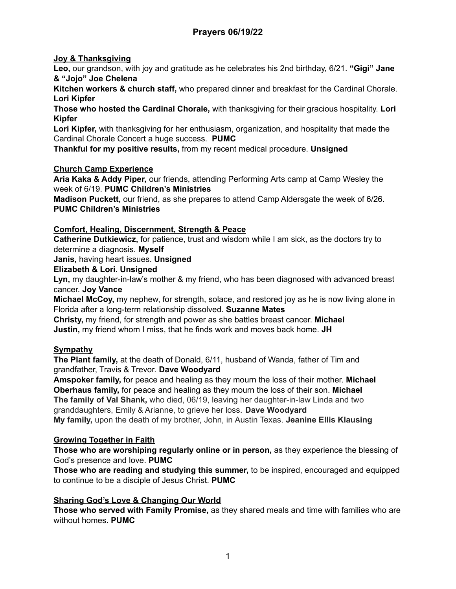# **Joy & Thanksgiving**

**Leo,** our grandson, with joy and gratitude as he celebrates his 2nd birthday, 6/21. **"Gigi" Jane & "Jojo" Joe Chelena**

**Kitchen workers & church staff,** who prepared dinner and breakfast for the Cardinal Chorale. **Lori Kipfer**

**Those who hosted the Cardinal Chorale,** with thanksgiving for their gracious hospitality. **Lori Kipfer**

**Lori Kipfer,** with thanksgiving for her enthusiasm, organization, and hospitality that made the Cardinal Chorale Concert a huge success. **PUMC**

**Thankful for my positive results,** from my recent medical procedure. **Unsigned**

#### **Church Camp Experience**

**Aria Kaka & Addy Piper,** our friends, attending Performing Arts camp at Camp Wesley the week of 6/19. **PUMC Children's Ministries**

**Madison Puckett,** our friend, as she prepares to attend Camp Aldersgate the week of 6/26. **PUMC Children's Ministries**

#### **Comfort, Healing, Discernment, Strength & Peace**

**Catherine Dutkiewicz,** for patience, trust and wisdom while I am sick, as the doctors try to determine a diagnosis. **Myself**

**Janis,** having heart issues. **Unsigned**

#### **Elizabeth & Lori. Unsigned**

**Lyn,** my daughter-in-law's mother & my friend, who has been diagnosed with advanced breast cancer. **Joy Vance**

**Michael McCoy,** my nephew, for strength, solace, and restored joy as he is now living alone in Florida after a long-term relationship dissolved. **Suzanne Mates**

**Christy,** my friend, for strength and power as she battles breast cancer. **Michael Justin,** my friend whom I miss, that he finds work and moves back home. **JH**

# **Sympathy**

**The Plant family,** at the death of Donald, 6/11, husband of Wanda, father of Tim and grandfather, Travis & Trevor. **Dave Woodyard**

**Amspoker family,** for peace and healing as they mourn the loss of their mother. **Michael Oberhaus family,** for peace and healing as they mourn the loss of their son. **Michael The family of Val Shank,** who died, 06/19, leaving her daughter-in-law Linda and two granddaughters, Emily & Arianne, to grieve her loss. **Dave Woodyard My family,** upon the death of my brother, John, in Austin Texas. **Jeanine Ellis Klausing**

# **Growing Together in Faith**

**Those who are worshiping regularly online or in person,** as they experience the blessing of God's presence and love. **PUMC**

**Those who are reading and studying this summer,** to be inspired, encouraged and equipped to continue to be a disciple of Jesus Christ. **PUMC**

# **Sharing God's Love & Changing Our World**

**Those who served with Family Promise,** as they shared meals and time with families who are without homes. **PUMC**